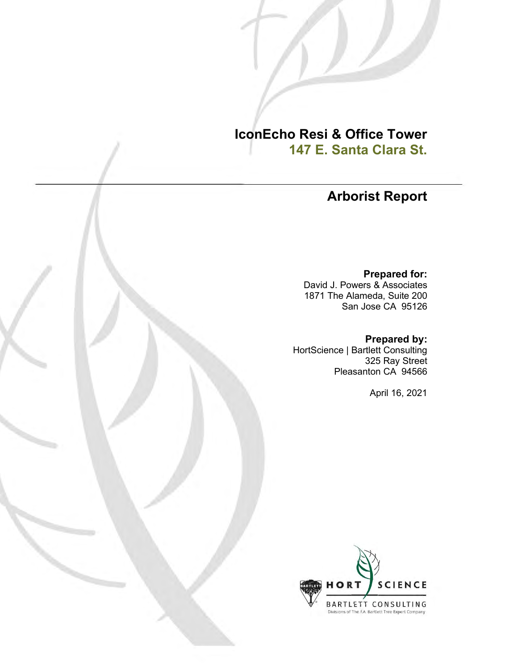**IconEcho Resi & Office Tower 147 E. Santa Clara St.**

# **Arborist Report**

**Prepared for:**

David J. Powers & Associates 1871 The Alameda, Suite 200 San Jose CA 95126

**Prepared by:**

HortScience | Bartlett Consulting 325 Ray Street Pleasanton CA 94566

April 16, 2021

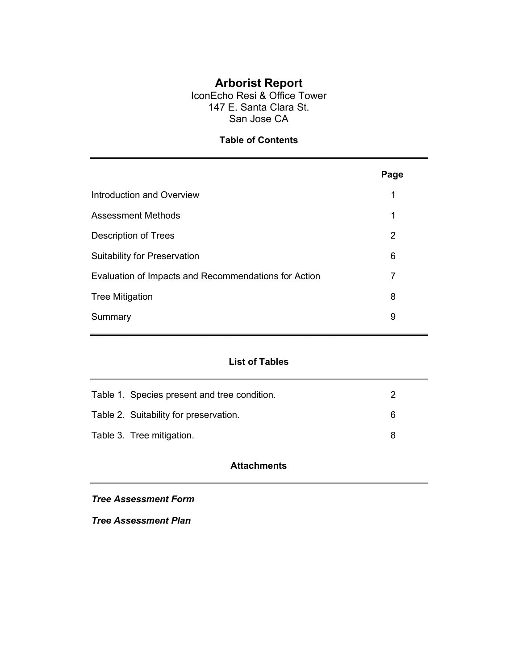# **Arborist Report**

IconEcho Resi & Office Tower 147 E. Santa Clara St. San Jose CA

## **Table of Contents**

|                                                      | Page |
|------------------------------------------------------|------|
| Introduction and Overview                            | 1    |
| Assessment Methods                                   | 1    |
| Description of Trees                                 | 2    |
| <b>Suitability for Preservation</b>                  | 6    |
| Evaluation of Impacts and Recommendations for Action | 7    |
| <b>Tree Mitigation</b>                               | 8    |
| Summary                                              | 9    |

## **List of Tables**

| Table 1. Species present and tree condition. |   |
|----------------------------------------------|---|
| Table 2. Suitability for preservation.       | Ⴌ |
| Table 3. Tree mitigation.                    | я |

## **Attachments**

*Tree Assessment Form*

*Tree Assessment Plan*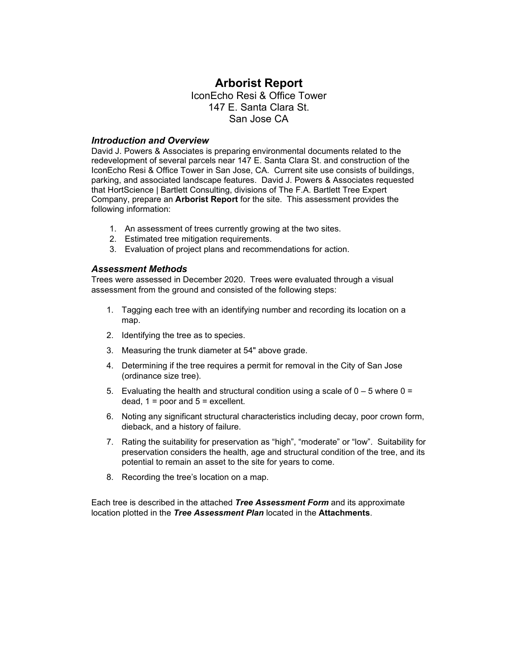# **Arborist Report**

IconEcho Resi & Office Tower 147 E. Santa Clara St. San Jose CA

#### *Introduction and Overview*

David J. Powers & Associates is preparing environmental documents related to the redevelopment of several parcels near 147 E. Santa Clara St. and construction of the IconEcho Resi & Office Tower in San Jose, CA. Current site use consists of buildings, parking, and associated landscape features. David J. Powers & Associates requested that HortScience | Bartlett Consulting, divisions of The F.A. Bartlett Tree Expert Company, prepare an **Arborist Report** for the site. This assessment provides the following information:

- 1. An assessment of trees currently growing at the two sites.
- 2. Estimated tree mitigation requirements.
- 3. Evaluation of project plans and recommendations for action.

#### *Assessment Methods*

Trees were assessed in December 2020. Trees were evaluated through a visual assessment from the ground and consisted of the following steps:

- 1. Tagging each tree with an identifying number and recording its location on a map.
- 2. Identifying the tree as to species.
- 3. Measuring the trunk diameter at 54" above grade.
- 4. Determining if the tree requires a permit for removal in the City of San Jose (ordinance size tree).
- 5. Evaluating the health and structural condition using a scale of  $0 5$  where  $0 = 5$ dead,  $1 =$  poor and  $5 =$  excellent.
- 6. Noting any significant structural characteristics including decay, poor crown form, dieback, and a history of failure.
- 7. Rating the suitability for preservation as "high", "moderate" or "low". Suitability for preservation considers the health, age and structural condition of the tree, and its potential to remain an asset to the site for years to come.
- 8. Recording the tree's location on a map.

Each tree is described in the attached *Tree Assessment Form* and its approximate location plotted in the *Tree Assessment Plan* located in the **Attachments**.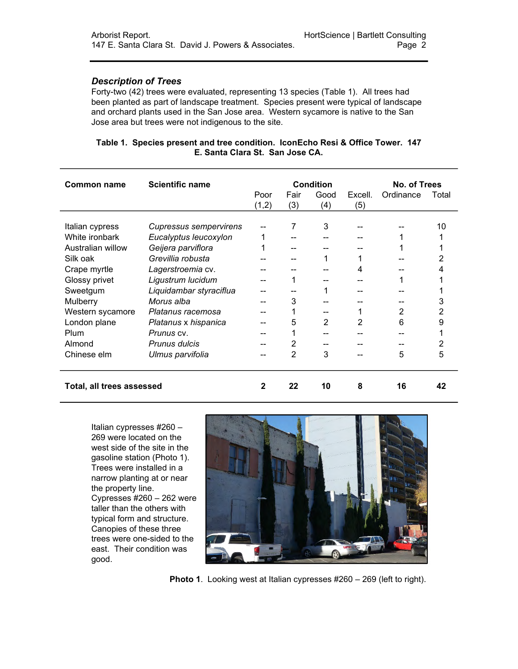### *Description of Trees*

Forty-two (42) trees were evaluated, representing 13 species (Table 1). All trees had been planted as part of landscape treatment. Species present were typical of landscape and orchard plants used in the San Jose area. Western sycamore is native to the San Jose area but trees were not indigenous to the site.

### **Table 1. Species present and tree condition. IconEcho Resi & Office Tower. 147 E. Santa Clara St. San Jose CA.**

| Common name               | <b>Scientific name</b>        | <b>Condition</b>                |     |     |           | No. of Trees |    |
|---------------------------|-------------------------------|---------------------------------|-----|-----|-----------|--------------|----|
|                           |                               | Good<br>Fair<br>Excell.<br>Poor |     |     | Ordinance | Total        |    |
|                           |                               | (1,2)                           | (3) | (4) | (5)       |              |    |
|                           |                               |                                 |     |     |           |              |    |
| Italian cypress           | <b>Cupressus sempervirens</b> |                                 | 7   | 3   |           |              | 10 |
| White ironbark            | Eucalyptus leucoxylon         |                                 |     |     |           |              |    |
| Australian willow         | Geijera parviflora            |                                 |     |     |           |              |    |
| Silk oak                  | Grevillia robusta             |                                 |     |     |           |              |    |
| Crape myrtle              | Lagerstroemia cv.             |                                 |     |     | 4         |              |    |
| Glossy privet             | Ligustrum lucidum             |                                 |     |     |           |              |    |
| Sweetgum                  | Liquidambar styraciflua       |                                 |     |     |           |              |    |
| Mulberry                  | Morus alba                    |                                 | 3   |     |           |              | 3  |
| Western sycamore          | Platanus racemosa             |                                 |     |     |           | 2            | 2  |
| London plane              | Platanus x hispanica          |                                 | 5   | 2   | 2         | 6            | 9  |
| Plum                      | <i>Prunus</i> cv.             |                                 |     |     |           |              |    |
| Almond                    | Prunus dulcis                 |                                 | 2   |     |           |              | 2  |
| Chinese elm               | Ulmus parvifolia              |                                 | 2   | 3   |           | 5            | 5  |
|                           |                               |                                 |     |     |           |              |    |
|                           |                               |                                 |     |     |           |              |    |
| Total, all trees assessed |                               |                                 | 22  | 10  | 8         | 16           | 42 |

Italian cypresses #260 – 269 were located on the west side of the site in the gasoline station (Photo 1). Trees were installed in a narrow planting at or near the property line. Cypresses #260 – 262 were taller than the others with typical form and structure. Canopies of these three trees were one-sided to the east. Their condition was good.



**Photo 1**. Looking west at Italian cypresses #260 – 269 (left to right).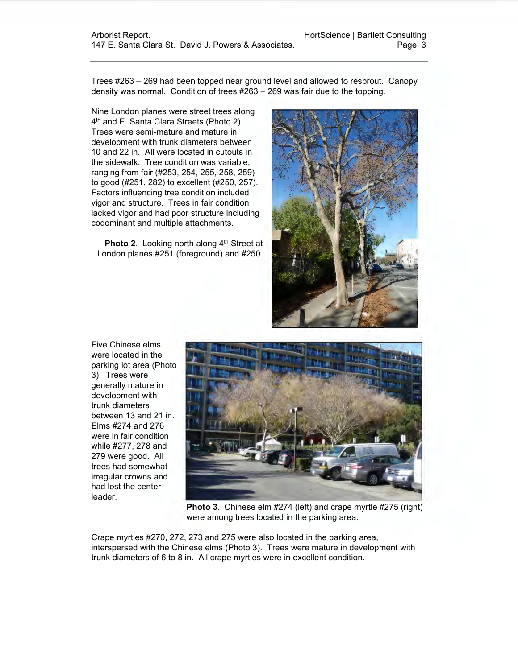Trees #263 – 269 had been topped near ground level and allowed to resprout. Canopy density was normal. Condition of trees #263 – 269 was fair due to the topping.

Nine London planes were street trees along 4<sup>th</sup> and E. Santa Clara Streets (Photo 2). Trees were semi-mature and mature in development with trunk diameters between 10 and 22 in. All were located in cutouts in the sidewalk. Tree condition was variable, ranging from fair (#253, 254, 255, 258, 259) to good (#251, 282) to excellent (#250, 257). Factors influencing tree condition included vigor and structure. Trees in fair condition lacked vigor and had poor structure including codominant and multiple attachments.

**Photo 2.** Looking north along 4<sup>th</sup> Street at London planes #251 (foreground) and #250.



Five Chinese elms were located in the parking lot area (Photo 3). Trees were generally mature in development with trunk diameters between 13 and 21 in. Elms #274 and 276 were in fair condition while #277, 278 and 279 were good. All trees had somewhat irregular crowns and had lost the center leader.



**Photo 3**. Chinese elm #274 (left) and crape myrtle #275 (right) were among trees located in the parking area.

Crape myrtles #270, 272, 273 and 275 were also located in the parking area, interspersed with the Chinese elms (Photo 3). Trees were mature in development with trunk diameters of 6 to 8 in. All crape myrtles were in excellent condition.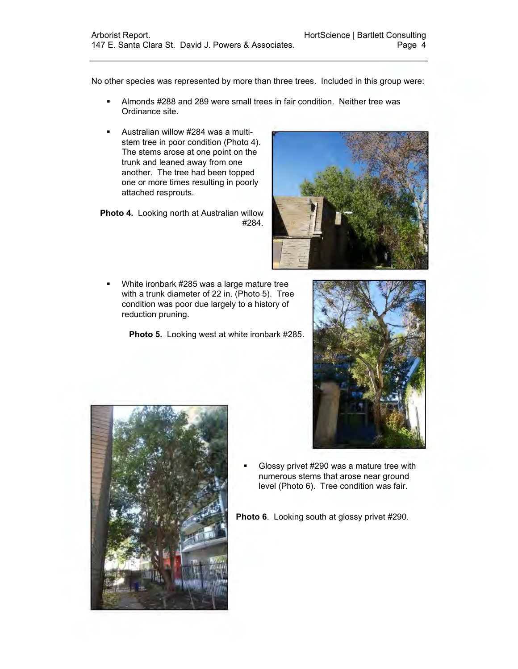No other species was represented by more than three trees. Included in this group were:

- Almonds #288 and 289 were small trees in fair condition. Neither tree was Ordinance site.
- Australian willow #284 was a multistem tree in poor condition (Photo 4). The stems arose at one point on the trunk and leaned away from one another. The tree had been topped one or more times resulting in poorly attached resprouts.

**Photo 4.** Looking north at Australian willow #284.

**White ironbark #285 was a large mature tree** with a trunk diameter of 22 in. (Photo 5). Tree condition was poor due largely to a history of reduction pruning.

**Photo 5.** Looking west at white ironbark #285.







 Glossy privet #290 was a mature tree with numerous stems that arose near ground level (Photo 6). Tree condition was fair.

**Photo 6**. Looking south at glossy privet #290.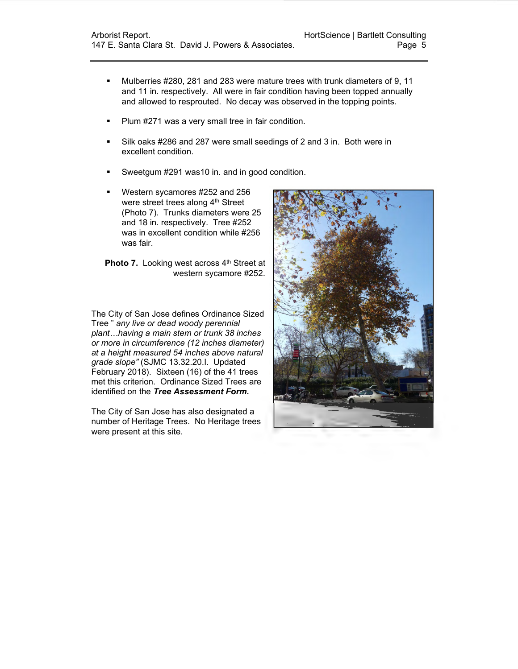- Mulberries #280, 281 and 283 were mature trees with trunk diameters of 9, 11 and 11 in. respectively. All were in fair condition having been topped annually and allowed to resprouted. No decay was observed in the topping points.
- **Plum #271 was a very small tree in fair condition.**
- Silk oaks #286 and 287 were small seedings of 2 and 3 in. Both were in excellent condition.
- Sweetgum #291 was10 in. and in good condition.
- Western sycamores #252 and 256 were street trees along 4<sup>th</sup> Street (Photo 7). Trunks diameters were 25 and 18 in. respectively. Tree #252 was in excellent condition while #256 was fair.

**Photo 7.** Looking west across 4<sup>th</sup> Street at western sycamore #252.

The City of San Jose defines Ordinance Sized Tree " *any live or dead woody perennial plant…having a main stem or trunk 38 inches or more in circumference (12 inches diameter) at a height measured 54 inches above natural grade slope"* (SJMC 13.32.20.I. Updated February 2018). Sixteen (16) of the 41 trees met this criterion. Ordinance Sized Trees are identified on the *Tree Assessment Form.*

The City of San Jose has also designated a number of Heritage Trees. No Heritage trees were present at this site.

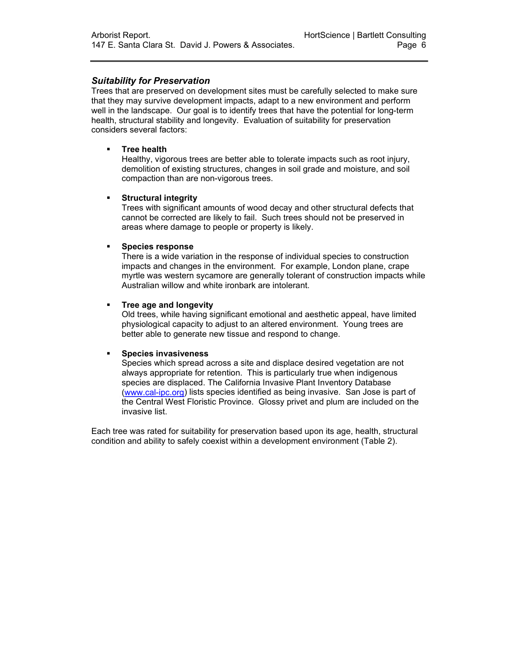### *Suitability for Preservation*

Trees that are preserved on development sites must be carefully selected to make sure that they may survive development impacts, adapt to a new environment and perform well in the landscape. Our goal is to identify trees that have the potential for long-term health, structural stability and longevity. Evaluation of suitability for preservation considers several factors:

#### **Tree health**

Healthy, vigorous trees are better able to tolerate impacts such as root injury, demolition of existing structures, changes in soil grade and moisture, and soil compaction than are non-vigorous trees.

#### **Structural integrity**

Trees with significant amounts of wood decay and other structural defects that cannot be corrected are likely to fail. Such trees should not be preserved in areas where damage to people or property is likely.

#### **Species response**

There is a wide variation in the response of individual species to construction impacts and changes in the environment. For example, London plane, crape myrtle was western sycamore are generally tolerant of construction impacts while Australian willow and white ironbark are intolerant.

#### **Tree age and longevity**

Old trees, while having significant emotional and aesthetic appeal, have limited physiological capacity to adjust to an altered environment. Young trees are better able to generate new tissue and respond to change.

#### **Species invasiveness**

Species which spread across a site and displace desired vegetation are not always appropriate for retention. This is particularly true when indigenous species are displaced. The California Invasive Plant Inventory Database [\(www.cal-ipc.org\)](http://www.cal-ipc.org/) lists species identified as being invasive. San Jose is part of the Central West Floristic Province. Glossy privet and plum are included on the invasive list.

Each tree was rated for suitability for preservation based upon its age, health, structural condition and ability to safely coexist within a development environment (Table 2).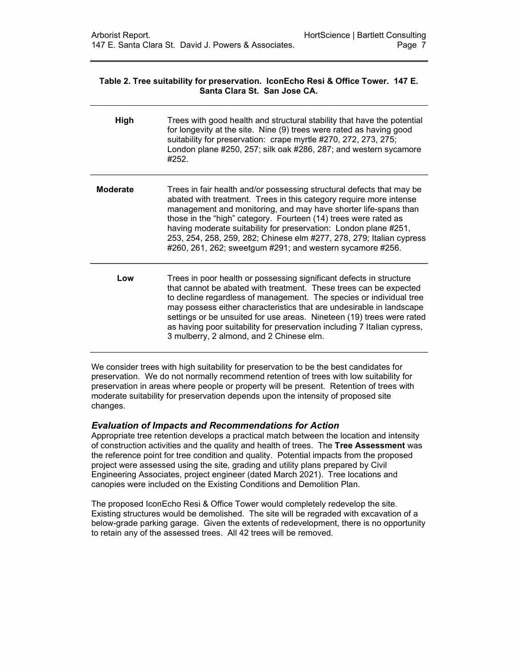#### **Table 2. Tree suitability for preservation. IconEcho Resi & Office Tower. 147 E. Santa Clara St. San Jose CA.**

| High            | Trees with good health and structural stability that have the potential<br>for longevity at the site. Nine (9) trees were rated as having good<br>suitability for preservation: crape myrtle #270, 272, 273, 275;<br>London plane #250, 257; silk oak #286, 287; and western sycamore<br>#252.                                                                                                                                                                                             |
|-----------------|--------------------------------------------------------------------------------------------------------------------------------------------------------------------------------------------------------------------------------------------------------------------------------------------------------------------------------------------------------------------------------------------------------------------------------------------------------------------------------------------|
| <b>Moderate</b> | Trees in fair health and/or possessing structural defects that may be<br>abated with treatment. Trees in this category require more intense<br>management and monitoring, and may have shorter life-spans than<br>those in the "high" category. Fourteen (14) trees were rated as<br>having moderate suitability for preservation: London plane #251,<br>253, 254, 258, 259, 282; Chinese elm #277, 278, 279; Italian cypress<br>#260, 261, 262; sweetgum #291; and western sycamore #256. |
| Low             | Trees in poor health or possessing significant defects in structure<br>that cannot be abated with treatment. These trees can be expected<br>to decline regardless of management. The species or individual tree<br>may possess either characteristics that are undesirable in landscape<br>settings or be unsuited for use areas. Nineteen (19) trees were rated<br>as having poor suitability for preservation including 7 Italian cypress,<br>3 mulberry, 2 almond, and 2 Chinese elm.   |

We consider trees with high suitability for preservation to be the best candidates for preservation. We do not normally recommend retention of trees with low suitability for preservation in areas where people or property will be present. Retention of trees with moderate suitability for preservation depends upon the intensity of proposed site changes.

#### *Evaluation of Impacts and Recommendations for Action*

Appropriate tree retention develops a practical match between the location and intensity of construction activities and the quality and health of trees. The **Tree Assessment** was the reference point for tree condition and quality. Potential impacts from the proposed project were assessed using the site, grading and utility plans prepared by Civil Engineering Associates, project engineer (dated March 2021). Tree locations and canopies were included on the Existing Conditions and Demolition Plan.

The proposed IconEcho Resi & Office Tower would completely redevelop the site. Existing structures would be demolished. The site will be regraded with excavation of a below-grade parking garage. Given the extents of redevelopment, there is no opportunity to retain any of the assessed trees. All 42 trees will be removed.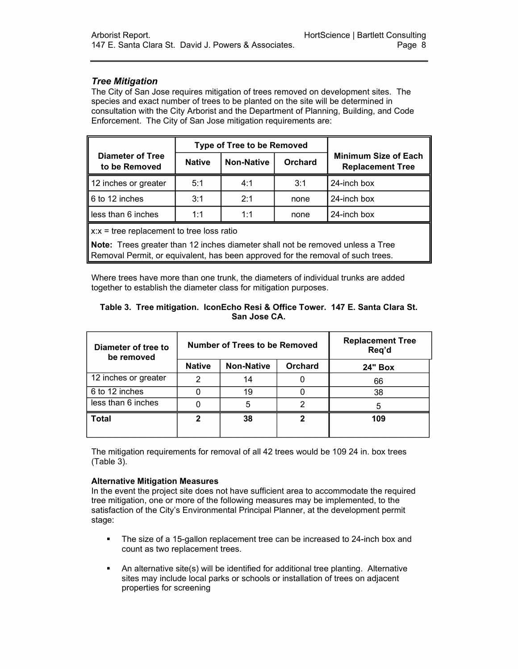### *Tree Mitigation*

The City of San Jose requires mitigation of trees removed on development sites. The species and exact number of trees to be planted on the site will be determined in consultation with the City Arborist and the Department of Planning, Building, and Code Enforcement. The City of San Jose mitigation requirements are:

|                                             |               | <b>Type of Tree to be Removed</b> |                |                                                        |  |  |  |
|---------------------------------------------|---------------|-----------------------------------|----------------|--------------------------------------------------------|--|--|--|
| <b>Diameter of Tree</b><br>to be Removed    | <b>Native</b> | <b>Non-Native</b>                 | <b>Orchard</b> | <b>Minimum Size of Each</b><br><b>Replacement Tree</b> |  |  |  |
| 12 inches or greater                        | 5:1           | 4:1                               | 3:1            | 24-inch box                                            |  |  |  |
| 6 to 12 inches                              | 3:1           | 2.1                               | none           | 24-inch box                                            |  |  |  |
| less than 6 inches                          | 1:1           | 1:1                               | none           | 24-inch box                                            |  |  |  |
| $x:x =$ tree replacement to tree loss ratio |               |                                   |                |                                                        |  |  |  |

**Note:** Trees greater than 12 inches diameter shall not be removed unless a Tree Removal Permit, or equivalent, has been approved for the removal of such trees.

Where trees have more than one trunk, the diameters of individual trunks are added together to establish the diameter class for mitigation purposes.

### **Table 3. Tree mitigation. IconEcho Resi & Office Tower. 147 E. Santa Clara St. San Jose CA.**

| Diameter of tree to<br>be removed |               | Number of Trees to be Removed | <b>Replacement Tree</b><br>Req'd |                |
|-----------------------------------|---------------|-------------------------------|----------------------------------|----------------|
|                                   | <b>Native</b> | <b>Non-Native</b>             | <b>Orchard</b>                   | <b>24" Box</b> |
| 12 inches or greater              | 2             | 14                            |                                  | 66             |
| 6 to 12 inches                    |               | 19                            |                                  | 38             |
| less than 6 inches                |               | 5                             |                                  |                |
| <b>Total</b>                      | 2             | 38                            |                                  | 109            |

The mitigation requirements for removal of all 42 trees would be 109 24 in. box trees (Table 3).

### **Alternative Mitigation Measures**

In the event the project site does not have sufficient area to accommodate the required tree mitigation, one or more of the following measures may be implemented, to the satisfaction of the City's Environmental Principal Planner, at the development permit stage:

- The size of a 15-gallon replacement tree can be increased to 24-inch box and count as two replacement trees.
- An alternative site(s) will be identified for additional tree planting. Alternative sites may include local parks or schools or installation of trees on adjacent properties for screening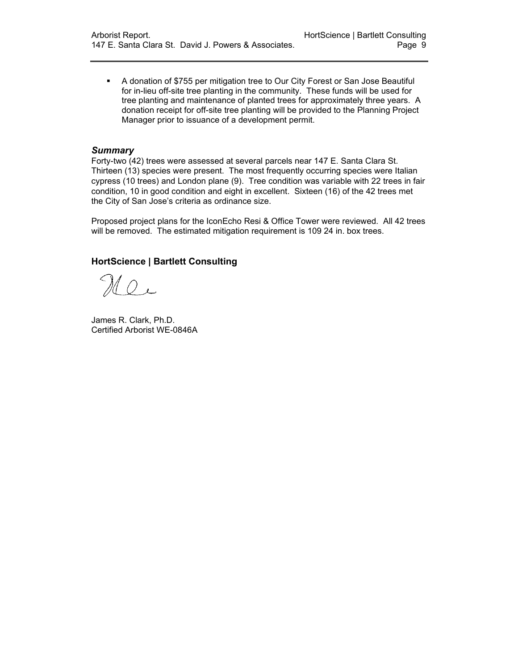A donation of \$755 per mitigation tree to Our City Forest or San Jose Beautiful for in-lieu off-site tree planting in the community. These funds will be used for tree planting and maintenance of planted trees for approximately three years. A donation receipt for off-site tree planting will be provided to the Planning Project Manager prior to issuance of a development permit.

#### *Summary*

Forty-two (42) trees were assessed at several parcels near 147 E. Santa Clara St. Thirteen (13) species were present. The most frequently occurring species were Italian cypress (10 trees) and London plane (9). Tree condition was variable with 22 trees in fair condition, 10 in good condition and eight in excellent. Sixteen (16) of the 42 trees met the City of San Jose's criteria as ordinance size.

Proposed project plans for the IconEcho Resi & Office Tower were reviewed. All 42 trees will be removed. The estimated mitigation requirement is 109 24 in. box trees.

### **HortScience | Bartlett Consulting**

 $\mathcal{U} \circ \mathcal{U}$ 

James R. Clark, Ph.D. Certified Arborist WE-0846A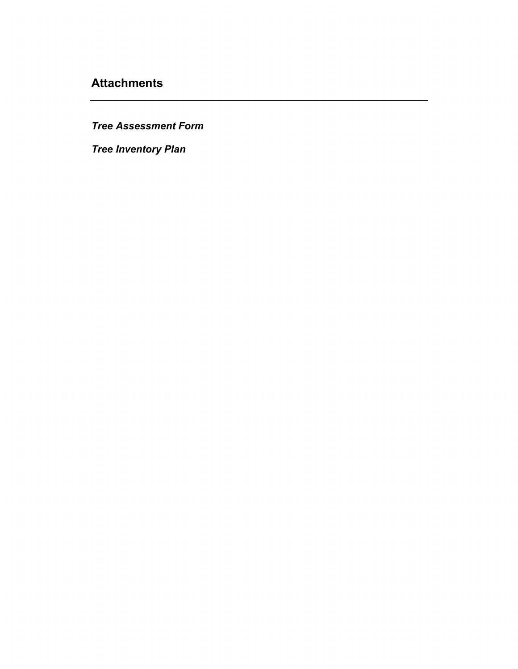# **Attachments**

*Tree Assessment Form*

*Tree Inventory Plan*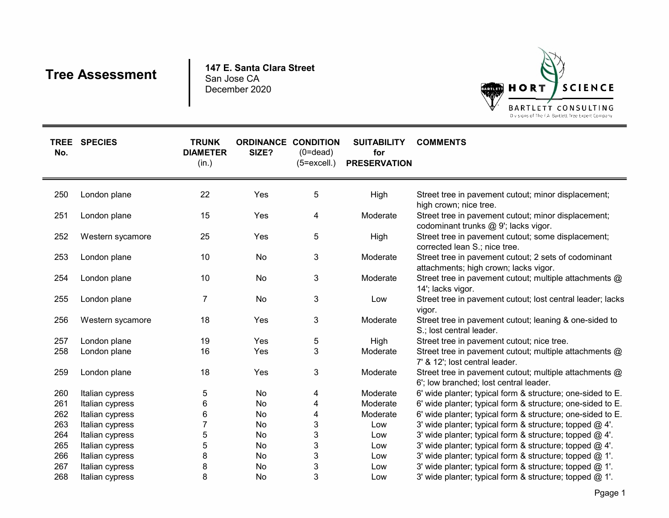# **Tree Assessment**

**147 E. Santa Clara Street** San Jose CADecember 2020



| No. | TREE SPECIES     | <b>TRUNK</b><br><b>DIAMETER</b><br>(in.) | <b>ORDINANCE CONDITION</b><br>SIZE? | $(0=dead)$<br>$(5=excell.)$ | <b>SUITABILITY</b><br>for<br><b>PRESERVATION</b> | <b>COMMENTS</b>                                                                                  |
|-----|------------------|------------------------------------------|-------------------------------------|-----------------------------|--------------------------------------------------|--------------------------------------------------------------------------------------------------|
| 250 | London plane     | 22                                       | Yes                                 | 5                           | High                                             | Street tree in pavement cutout; minor displacement;<br>high crown; nice tree.                    |
| 251 | London plane     | 15                                       | Yes                                 | 4                           | Moderate                                         | Street tree in pavement cutout; minor displacement;<br>codominant trunks @ 9'; lacks vigor.      |
| 252 | Western sycamore | 25                                       | Yes                                 | 5                           | High                                             | Street tree in pavement cutout; some displacement;<br>corrected lean S.; nice tree.              |
| 253 | London plane     | 10                                       | No                                  | 3                           | Moderate                                         | Street tree in pavement cutout; 2 sets of codominant<br>attachments; high crown; lacks vigor.    |
| 254 | London plane     | 10                                       | No                                  | 3                           | Moderate                                         | Street tree in pavement cutout; multiple attachments @<br>14'; lacks vigor.                      |
| 255 | London plane     | 7                                        | No                                  | 3                           | Low                                              | Street tree in pavement cutout; lost central leader; lacks<br>vigor.                             |
| 256 | Western sycamore | 18                                       | Yes                                 | 3                           | Moderate                                         | Street tree in pavement cutout; leaning & one-sided to<br>S.; lost central leader.               |
| 257 | London plane     | 19                                       | Yes                                 | 5                           | High                                             | Street tree in pavement cutout; nice tree.                                                       |
| 258 | London plane     | 16                                       | Yes                                 | 3                           | Moderate                                         | Street tree in pavement cutout; multiple attachments @<br>7' & 12'; lost central leader.         |
| 259 | London plane     | 18                                       | Yes                                 | 3                           | Moderate                                         | Street tree in pavement cutout; multiple attachments @<br>6'; low branched; lost central leader. |
| 260 | Italian cypress  | 5                                        | No                                  | 4                           | Moderate                                         | 6' wide planter; typical form & structure; one-sided to E.                                       |
| 261 | Italian cypress  | 6                                        | No                                  | 4                           | Moderate                                         | 6' wide planter; typical form & structure; one-sided to E.                                       |
| 262 | Italian cypress  | 6                                        | No                                  | 4                           | Moderate                                         | 6' wide planter; typical form & structure; one-sided to E.                                       |
| 263 | Italian cypress  |                                          | No                                  | 3                           | Low                                              | 3' wide planter; typical form & structure; topped @ 4'.                                          |
| 264 | Italian cypress  | 5                                        | No                                  | 3                           | Low                                              | 3' wide planter; typical form & structure; topped @ 4'.                                          |
| 265 | Italian cypress  | 5                                        | No                                  | 3                           | Low                                              | 3' wide planter; typical form & structure; topped @ 4'.                                          |
| 266 | Italian cypress  | 8                                        | No                                  | 3                           | Low                                              | 3' wide planter; typical form & structure; topped @ 1'.                                          |
| 267 | Italian cypress  | 8                                        | No                                  | 3                           | Low                                              | 3' wide planter; typical form & structure; topped @ 1'.                                          |
| 268 | Italian cypress  | 8                                        | No                                  | 3                           | Low                                              | 3' wide planter; typical form & structure; topped @ 1'.                                          |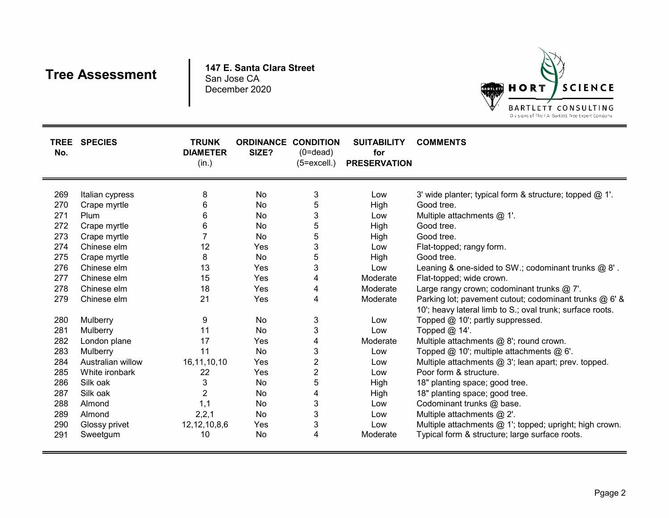# **Tree Assessment**

**147 E. Santa Clara Street** San Jose CADecember 2020



| TREE<br>No. | <b>SPECIES</b>    | <b>TRUNK</b><br><b>DIAMETER</b><br>(in.) | <b>ORDINANCE CONDITION</b><br>SIZE? | $(0=$ dead $)$<br>$(5=excell.)$ | <b>SUITABILITY</b><br>for<br><b>PRESERVATION</b> | <b>COMMENTS</b>                                                                                                     |
|-------------|-------------------|------------------------------------------|-------------------------------------|---------------------------------|--------------------------------------------------|---------------------------------------------------------------------------------------------------------------------|
| 269         | Italian cypress   | 8                                        | No                                  | 3                               | Low                                              | 3' wide planter; typical form & structure; topped @ 1'.                                                             |
| 270         | Crape myrtle      | 6                                        | No                                  | 5                               | High                                             | Good tree.                                                                                                          |
| 271         | Plum              | 6                                        | No                                  | 3                               | Low                                              | Multiple attachments $@$ 1'.                                                                                        |
| 272         | Crape myrtle      | 6                                        | No                                  | 5                               | High                                             | Good tree.                                                                                                          |
| 273         | Crape myrtle      |                                          | No                                  | 5                               | High                                             | Good tree.                                                                                                          |
| 274         | Chinese elm       | 12                                       | Yes                                 | 3                               | Low                                              | Flat-topped; rangy form.                                                                                            |
| 275         | Crape myrtle      | 8                                        | No                                  | 5                               | High                                             | Good tree.                                                                                                          |
| 276         | Chinese elm       | 13                                       | Yes                                 | 3                               | Low                                              | Leaning & one-sided to SW.; codominant trunks @ 8'.                                                                 |
| 277         | Chinese elm       | 15                                       | Yes                                 | 4                               | Moderate                                         | Flat-topped; wide crown.                                                                                            |
| 278         | Chinese elm       | 18                                       | Yes                                 |                                 | Moderate                                         | Large rangy crown; codominant trunks @ 7'.                                                                          |
| 279         | Chinese elm       | 21                                       | Yes                                 | 4                               | Moderate                                         | Parking lot; pavement cutout; codominant trunks @ 6' &<br>10'; heavy lateral limb to S.; oval trunk; surface roots. |
| 280         | Mulberry          | 9                                        | No                                  | 3                               | Low                                              | Topped @ 10'; partly suppressed.                                                                                    |
| 281         | Mulberry          | 11                                       | No                                  | 3                               | Low                                              | Topped @ 14'.                                                                                                       |
| 282         | London plane      | 17                                       | Yes                                 | 4                               | Moderate                                         | Multiple attachments @ 8'; round crown.                                                                             |
| 283         | Mulberry          | 11                                       | No                                  | 3                               | Low                                              | Topped @ 10'; multiple attachments @ 6'.                                                                            |
| 284         | Australian willow | 16, 11, 10, 10                           | Yes                                 | $\overline{c}$                  | Low                                              | Multiple attachments @ 3'; lean apart; prev. topped.                                                                |
| 285         | White ironbark    | 22                                       | Yes                                 | $\overline{2}$                  | Low                                              | Poor form & structure.                                                                                              |
| 286         | Silk oak          | 3                                        | No                                  | 5                               | High                                             | 18" planting space; good tree.                                                                                      |
| 287         | Silk oak          | $\overline{2}$                           | No                                  | 4                               | High                                             | 18" planting space; good tree.                                                                                      |
| 288         | Almond            | 1,1                                      | No                                  | 3                               | Low                                              | Codominant trunks @ base.                                                                                           |
| 289         | Almond            | 2, 2, 1                                  | No                                  | 3                               | Low                                              | Multiple attachments @ 2'.                                                                                          |
| 290         | Glossy privet     | 12, 12, 10, 8, 6                         | Yes                                 | 3                               | Low                                              | Multiple attachments @ 1'; topped; upright; high crown.                                                             |
| 291         | Sweetgum          | 10                                       | No                                  | 4                               | Moderate                                         | Typical form & structure; large surface roots.                                                                      |